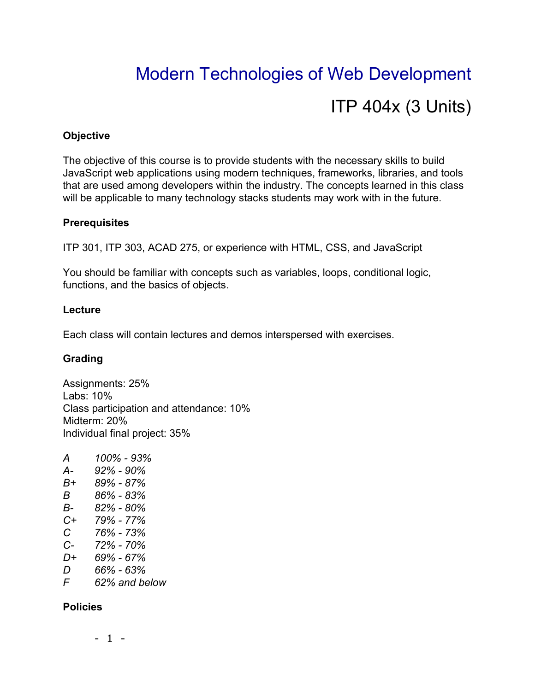# Modern Technologies of Web Development ITP 404x (3 Units)

### **Objective**

The objective of this course is to provide students with the necessary skills to build JavaScript web applications using modern techniques, frameworks, libraries, and tools that are used among developers within the industry. The concepts learned in this class will be applicable to many technology stacks students may work with in the future.

#### **Prerequisites**

ITP 301, ITP 303, ACAD 275, or experience with HTML, CSS, and JavaScript

You should be familiar with concepts such as variables, loops, conditional logic, functions, and the basics of objects.

#### **Lecture**

Each class will contain lectures and demos interspersed with exercises.

# **Grading**

Assignments: 25% Labs: 10% Class participation and attendance: 10% Midterm: 20% Individual final project: 35%

*A 100% - 93% A- 92% - 90% B+ 89% - 87% B 86% - 83% B- 82% - 80% C+ 79% - 77% C 76% - 73% C- 72% - 70% D+ 69% - 67% D 66% - 63% F 62% and below*

# **Policies**

- 1 -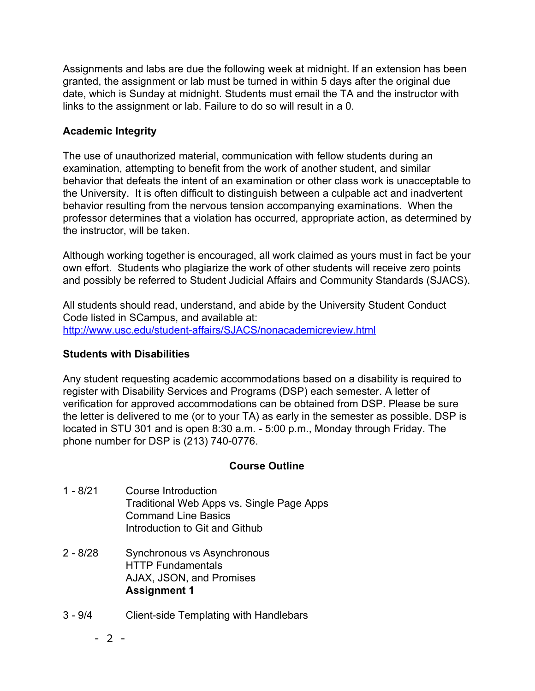Assignments and labs are due the following week at midnight. If an extension has been granted, the assignment or lab must be turned in within 5 days after the original due date, which is Sunday at midnight. Students must email the TA and the instructor with links to the assignment or lab. Failure to do so will result in a 0.

# **Academic Integrity**

The use of unauthorized material, communication with fellow students during an examination, attempting to benefit from the work of another student, and similar behavior that defeats the intent of an examination or other class work is unacceptable to the University. It is often difficult to distinguish between a culpable act and inadvertent behavior resulting from the nervous tension accompanying examinations. When the professor determines that a violation has occurred, appropriate action, as determined by the instructor, will be taken.

Although working together is encouraged, all work claimed as yours must in fact be your own effort. Students who plagiarize the work of other students will receive zero points and possibly be referred to Student Judicial Affairs and Community Standards (SJACS).

All students should read, understand, and abide by the University Student Conduct Code listed in SCampus, and available at: <http://www.usc.edu/student-affairs/SJACS/nonacademicreview.html>

#### **Students with Disabilities**

Any student requesting academic accommodations based on a disability is required to register with Disability Services and Programs (DSP) each semester. A letter of verification for approved accommodations can be obtained from DSP. Please be sure the letter is delivered to me (or to your TA) as early in the semester as possible. DSP is located in STU 301 and is open 8:30 a.m. - 5:00 p.m., Monday through Friday. The phone number for DSP is (213) 740-0776.

#### **Course Outline**

- 1 8/21 Course Introduction Traditional Web Apps vs. Single Page Apps Command Line Basics Introduction to Git and Github
- 2 8/28 Synchronous vs Asynchronous HTTP Fundamentals AJAX, JSON, and Promises **Assignment 1**
- 3 9/4 Client-side Templating with Handlebars

- 2 -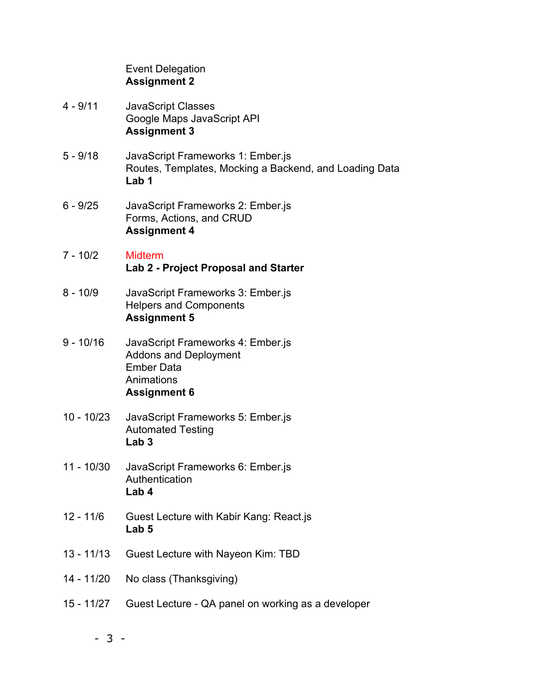|              | <b>Event Delegation</b><br><b>Assignment 2</b>                                                                              |
|--------------|-----------------------------------------------------------------------------------------------------------------------------|
| $4 - 9/11$   | <b>JavaScript Classes</b><br>Google Maps JavaScript API<br><b>Assignment 3</b>                                              |
| $5 - 9/18$   | JavaScript Frameworks 1: Ember.js<br>Routes, Templates, Mocking a Backend, and Loading Data<br>Lab 1                        |
| $6 - 9/25$   | JavaScript Frameworks 2: Ember.js<br>Forms, Actions, and CRUD<br><b>Assignment 4</b>                                        |
| $7 - 10/2$   | <b>Midterm</b><br><b>Lab 2 - Project Proposal and Starter</b>                                                               |
| $8 - 10/9$   | JavaScript Frameworks 3: Ember.js<br><b>Helpers and Components</b><br><b>Assignment 5</b>                                   |
| $9 - 10/16$  | JavaScript Frameworks 4: Ember.js<br><b>Addons and Deployment</b><br><b>Ember Data</b><br>Animations<br><b>Assignment 6</b> |
| $10 - 10/23$ | JavaScript Frameworks 5: Ember.js<br><b>Automated Testing</b><br>Lab <sub>3</sub>                                           |
| $11 - 10/30$ | JavaScript Frameworks 6: Ember is<br>Authentication<br>Lab 4                                                                |
| $12 - 11/6$  | Guest Lecture with Kabir Kang: React.js<br>Lab 5                                                                            |
| $13 - 11/13$ | Guest Lecture with Nayeon Kim: TBD                                                                                          |
| 14 - 11/20   | No class (Thanksgiving)                                                                                                     |
| 15 - 11/27   | Guest Lecture - QA panel on working as a developer                                                                          |
|              |                                                                                                                             |

- 3 -